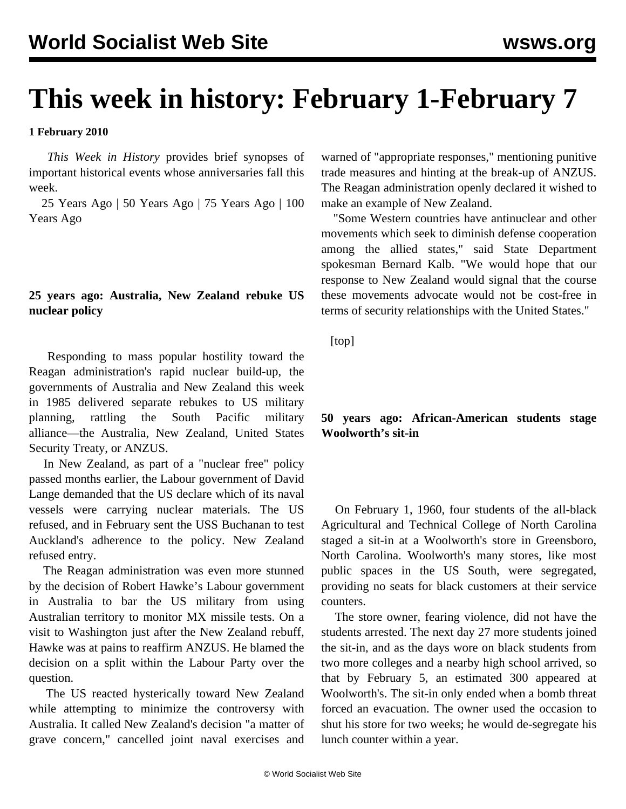# **This week in history: February 1-February 7**

#### **1 February 2010**

 *This Week in History* provides brief synopses of important historical events whose anniversaries fall this week.

 25 Years Ago | 50 Years Ago | 75 Years Ago | 100 Years Ago

# **25 years ago: Australia, New Zealand rebuke US nuclear policy**

 Responding to mass popular hostility toward the Reagan administration's rapid nuclear build-up, the governments of Australia and New Zealand this week in 1985 delivered separate rebukes to US military planning, rattling the South Pacific military alliance—the Australia, New Zealand, United States Security Treaty, or ANZUS.

 In New Zealand, as part of a "nuclear free" policy passed months earlier, the Labour government of David Lange demanded that the US declare which of its naval vessels were carrying nuclear materials. The US refused, and in February sent the USS Buchanan to test Auckland's adherence to the policy. New Zealand refused entry.

 The Reagan administration was even more stunned by the decision of Robert Hawke's Labour government in Australia to bar the US military from using Australian territory to monitor MX missile tests. On a visit to Washington just after the New Zealand rebuff, Hawke was at pains to reaffirm ANZUS. He blamed the decision on a split within the Labour Party over the question.

 The US reacted hysterically toward New Zealand while attempting to minimize the controversy with Australia. It called New Zealand's decision "a matter of grave concern," cancelled joint naval exercises and warned of "appropriate responses," mentioning punitive trade measures and hinting at the break-up of ANZUS. The Reagan administration openly declared it wished to make an example of New Zealand.

 "Some Western countries have antinuclear and other movements which seek to diminish defense cooperation among the allied states," said State Department spokesman Bernard Kalb. "We would hope that our response to New Zealand would signal that the course these movements advocate would not be cost-free in terms of security relationships with the United States."

[top]

## **50 years ago: African-American students stage Woolworth's sit-in**

 On February 1, 1960, four students of the all-black Agricultural and Technical College of North Carolina staged a sit-in at a Woolworth's store in Greensboro, North Carolina. Woolworth's many stores, like most public spaces in the US South, were segregated, providing no seats for black customers at their service counters.

 The store owner, fearing violence, did not have the students arrested. The next day 27 more students joined the sit-in, and as the days wore on black students from two more colleges and a nearby high school arrived, so that by February 5, an estimated 300 appeared at Woolworth's. The sit-in only ended when a bomb threat forced an evacuation. The owner used the occasion to shut his store for two weeks; he would de-segregate his lunch counter within a year.